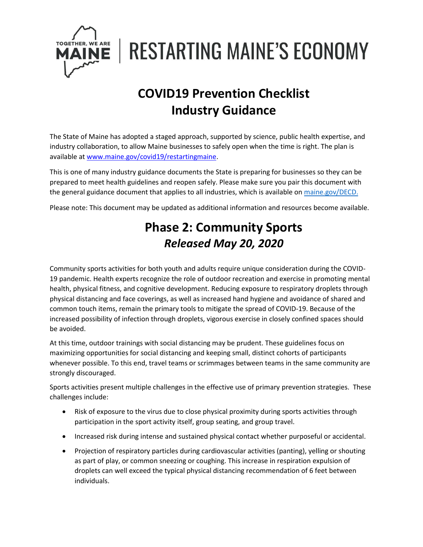

**RESTARTING MAINE'S ECONOMY** 

# **COVID19 Prevention Checklist Industry Guidance**

The State of Maine has adopted a staged approach, supported by science, public health expertise, and industry collaboration, to allow Maine businesses to safely open when the time is right. The plan is available a[t www.maine.gov/covid19/restartingmaine.](http://www.maine.gov/covid19/restartingmaine)

This is one of many industry guidance documents the State is preparing for businesses so they can be prepared to meet health guidelines and reopen safely. Please make sure you pair this document with the general guidance document that applies to all industries, which is available on [maine.gov/DECD.](https://www.maine.gov/DECD)

Please note: This document may be updated as additional information and resources become available.

## **Phase 2: Community Sports** *Released May 20, 2020*

Community sports activities for both youth and adults require unique consideration during the COVID-19 pandemic. Health experts recognize the role of outdoor recreation and exercise in promoting mental health, physical fitness, and cognitive development. Reducing exposure to respiratory droplets through physical distancing and face coverings, as well as increased hand hygiene and avoidance of shared and common touch items, remain the primary tools to mitigate the spread of COVID-19. Because of the increased possibility of infection through droplets, vigorous exercise in closely confined spaces should be avoided.

At this time, outdoor trainings with social distancing may be prudent. These guidelines focus on maximizing opportunities for social distancing and keeping small, distinct cohorts of participants whenever possible. To this end, travel teams or scrimmages between teams in the same community are strongly discouraged.

Sports activities present multiple challenges in the effective use of primary prevention strategies. These challenges include:

- Risk of exposure to the virus due to close physical proximity during sports activities through participation in the sport activity itself, group seating, and group travel.
- Increased risk during intense and sustained physical contact whether purposeful or accidental.
- Projection of respiratory particles during cardiovascular activities (panting), yelling or shouting as part of play, or common sneezing or coughing. This increase in respiration expulsion of droplets can well exceed the typical physical distancing recommendation of 6 feet between individuals.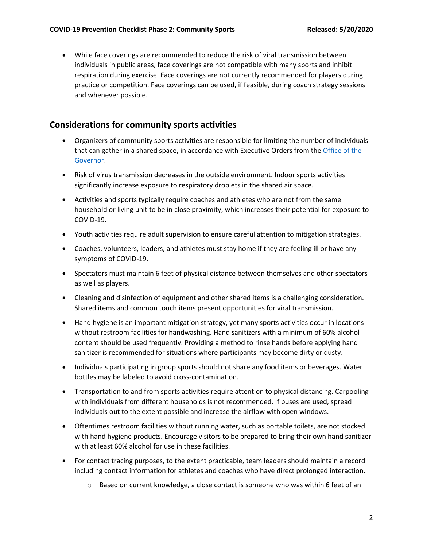• While face coverings are recommended to reduce the risk of viral transmission between individuals in public areas, face coverings are not compatible with many sports and inhibit respiration during exercise. Face coverings are not currently recommended for players during practice or competition. Face coverings can be used, if feasible, during coach strategy sessions and whenever possible.

#### **Considerations for community sports activities**

- Organizers of community sports activities are responsible for limiting the number of individuals that can gather in a shared space, in accordance with Executive Orders from th[e Office of the](https://www.maine.gov/covid19/)  [Governor.](https://www.maine.gov/covid19/)
- Risk of virus transmission decreases in the outside environment. Indoor sports activities significantly increase exposure to respiratory droplets in the shared air space.
- Activities and sports typically require coaches and athletes who are not from the same household or living unit to be in close proximity, which increases their potential for exposure to COVID-19.
- Youth activities require adult supervision to ensure careful attention to mitigation strategies.
- Coaches, volunteers, leaders, and athletes must stay home if they are feeling ill or have any symptoms of COVID-19.
- Spectators must maintain 6 feet of physical distance between themselves and other spectators as well as players.
- Cleaning and disinfection of equipment and other shared items is a challenging consideration. Shared items and common touch items present opportunities for viral transmission.
- Hand hygiene is an important mitigation strategy, yet many sports activities occur in locations without restroom facilities for handwashing. Hand sanitizers with a minimum of 60% alcohol content should be used frequently. Providing a method to rinse hands before applying hand sanitizer is recommended for situations where participants may become dirty or dusty.
- Individuals participating in group sports should not share any food items or beverages. Water bottles may be labeled to avoid cross-contamination.
- Transportation to and from sports activities require attention to physical distancing. Carpooling with individuals from different households is not recommended. If buses are used, spread individuals out to the extent possible and increase the airflow with open windows.
- Oftentimes restroom facilities without running water, such as portable toilets, are not stocked with hand hygiene products. Encourage visitors to be prepared to bring their own hand sanitizer with at least 60% alcohol for use in these facilities.
- For contact tracing purposes, to the extent practicable, team leaders should maintain a record including contact information for athletes and coaches who have direct prolonged interaction.
	- $\circ$  Based on current knowledge, a close contact is someone who was within 6 feet of an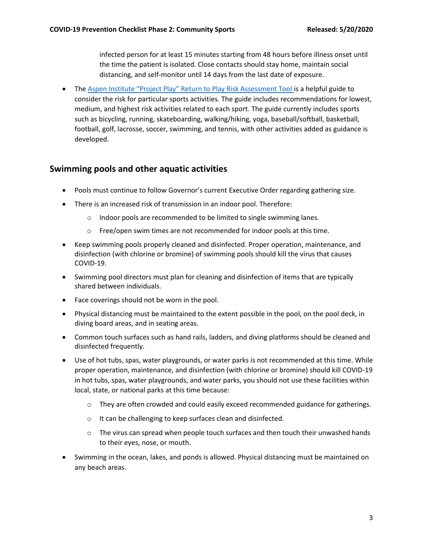infected person for at least 15 minutes starting from 48 hours before illness onset until the time the patient is isolated. Close contacts should stay home, maintain social distancing, and self-monitor until 14 days from the last date of exposure.

• The [Aspen Institute "Project Play" Return to Play Risk Assessment Tool](https://www.aspenprojectplay.org/return-to-play) is a helpful guide to consider the risk for particular sports activities. The guide includes recommendations for lowest, medium, and highest risk activities related to each sport. The guide currently includes sports such as bicycling, running, skateboarding, walking/hiking, yoga, baseball/softball, basketball, football, golf, lacrosse, soccer, swimming, and tennis, with other activities added as guidance is developed.

#### **Swimming pools and other aquatic activities**

- Pools must continue to follow Governor's current Executive Order regarding gathering size.
- There is an increased risk of transmission in an indoor pool. Therefore:
	- o Indoor pools are recommended to be limited to single swimming lanes.
	- o Free/open swim times are not recommended for indoor pools at this time.
- Keep swimming pools properly cleaned and disinfected. Proper operation, maintenance, and disinfection (with chlorine or bromine) of swimming pools should kill the virus that causes COVID-19.
- Swimming pool directors must plan for cleaning and disinfection of items that are typically shared between individuals.
- Face coverings should not be worn in the pool.
- Physical distancing must be maintained to the extent possible in the pool, on the pool deck, in diving board areas, and in seating areas.
- Common touch surfaces such as hand rails, ladders, and diving platforms should be cleaned and disinfected frequently.
- Use of hot tubs, spas, water playgrounds, or water parks is not recommended at this time. While proper operation, maintenance, and disinfection (with chlorine or bromine) should kill COVID-19 in hot tubs, spas, water playgrounds, and water parks, you should not use these facilities within local, state, or national parks at this time because:
	- $\circ$  They are often crowded and could easily exceed recommended guidance for gatherings.
	- o It can be challenging to keep surfaces clean and disinfected.
	- o The virus can spread when people touch surfaces and then touch their unwashed hands to their eyes, nose, or mouth.
- Swimming in the ocean, lakes, and ponds is allowed. Physical distancing must be maintained on any beach areas.